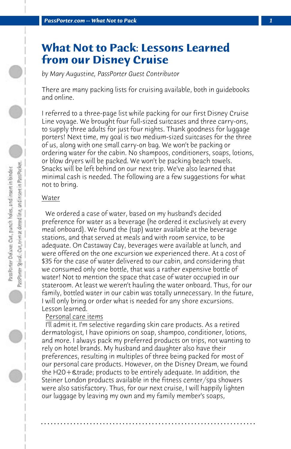# **What Not to Pack: Lessons Learned from our Disney Cruise**

*by Mary Augustine, PassPorter Guest Contributor*

There are many packing lists for cruising available, both in guidebooks and online.

I referred to a three-page list while packing for our first Disney Cruise Line voyage. We brought four full-sized suitcases and three carry-ons, to supply three adults for just four nights. Thank goodness for luggage porters! Next time, my goal is two medium-sized suitcases for the three of us, along with one small carry-on bag. We won't be packing or ordering water for the cabin. No shampoos, conditioners, soaps, lotions, or blow dryers will be packed. We won't be packing beach towels. Snacks will be left behind on our next trip. We've also learned that minimal cash is needed. The following are a few suggestions for what not to bring.

# Water

 We ordered a case of water, based on my husband's decided preference for water as a beverage (he ordered it exclusively at every meal onboard). We found the (tap) water available at the beverage stations, and that served at meals and with room service, to be adequate. On Castaway Cay, beverages were available at lunch, and were offered on the one excursion we experienced there. At a cost of \$35 for the case of water delivered to our cabin, and considering that we consumed only one bottle, that was a rather expensive bottle of water! Not to mention the space that case of water occupied in our stateroom. At least we weren't hauling the water onboard. Thus, for our family, bottled water in our cabin was totally unnecessary. In the future, I will only bring or order what is needed for any shore excursions. Lesson learned.

### Personal care items

 I'll admit it. I'm selective regarding skin care products. As a retired dermatologist, I have opinions on soap, shampoo, conditioner, lotions, and more. I always pack my preferred products on trips, not wanting to rely on hotel brands. My husband and daughter also have their preferences, resulting in multiples of three being packed for most of our personal care products. However, on the Disney Dream, we found the H20 + & trade; products to be entirely adequate. In addition, the Steiner London products available in the fitness center/spa showers were also satisfactory. Thus, for our next cruise, I will happily lighten our luggage by leaving my own and my family member's soaps,

**. . . . . . . . . . . . . . . . . . . . . . . . . . . . . . . . . . . . . . . . . . . . . . . . . . . . . . . . . . . . . . . . . .**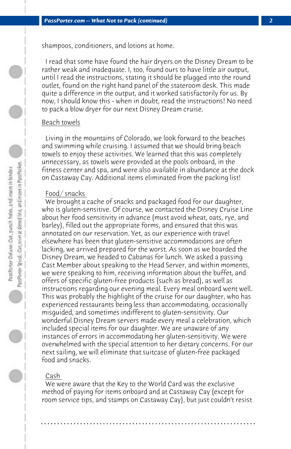shampoos, conditioners, and lotions at home.

 I read that some have found the hair dryers on the Disney Dream to be rather weak and inadequate. I, too, found ours to have little air output, until I read the instructions, stating it should be plugged into the round outlet, found on the right hand panel of the stateroom desk. This made quite a difference in the output, and it worked satisfactorily for us. By now, I should know this - when in doubt, read the instructions! No need to pack a blow dryer for our next Disney Dream cruise.

#### Beach towels

 Living in the mountains of Colorado, we look forward to the beaches and swimming while cruising. I assumed that we should bring beach towels to enjoy these activities. We learned that this was completely unnecessary, as towels were provided at the pools onboard, in the fitness center and spa, and were also available in abundance at the dock on Castaway Cay. Additional items eliminated from the packing list!

#### Food/ snacks

 We brought a cache of snacks and packaged food for our daughter, who is gluten-sensitive. Of course, we contacted the Disney Cruise Line about her food sensitivity in advance (must avoid wheat, oats, rye, and barley), filled out the appropriate forms, and ensured that this was annotated on our reservation. Yet, as our experience with travel elsewhere has been that gluten-sensitive accommodations are often lacking, we arrived prepared for the worst. As soon as we boarded the Disney Dream, we headed to Cabanas for lunch. We asked a passing Cast Member about speaking to the Head Server, and within moments, we were speaking to him, receiving information about the buffet, and offers of specific gluten-free products (such as bread), as well as instructions regarding our evening meal. Every meal onboard went well. This was probably the highlight of the cruise for our daughter, who has experienced restaurants being less than accommodating, occasionally misguided, and sometimes indifferent to gluten-sensitivity. Our wonderful Disney Dream servers made every meal a celebration, which included special items for our daughter. We are unaware of any instances of errors in accommodating her gluten-sensitivity. We were overwhelmed with the special attention to her dietary concerns. For our next sailing, we will eliminate that suitcase of gluten-free packaged food and snacks.

## Cash

 We were aware that the Key to the World Card was the exclusive method of paying for items onboard and at Castaway Cay (except for room service tips, and stamps on Castaway Cay), but just couldn't resist

**. . . . . . . . . . . . . . . . . . . . . . . . . . . . . . . . . . . . . . . . . . . . . . . . . . . . . . . . . . . . . . . . . .**